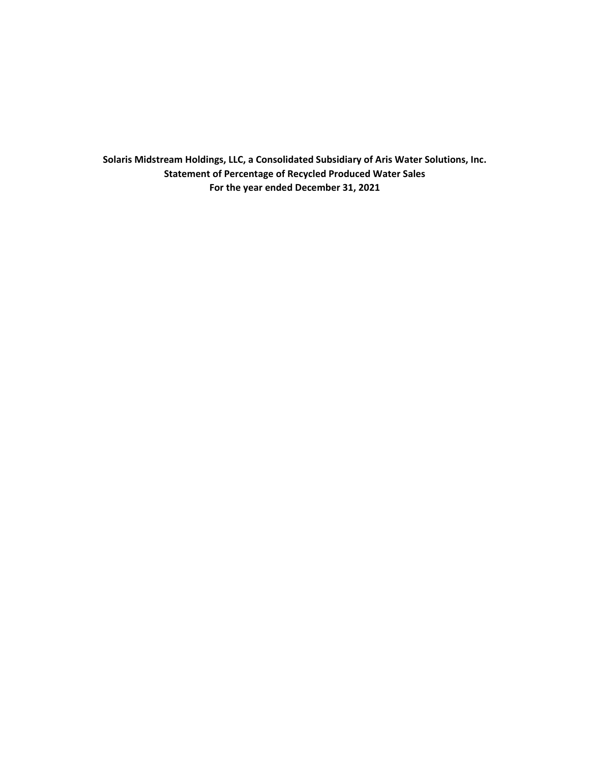**Solaris Midstream Holdings, LLC, a Consolidated Subsidiary of Aris Water Solutions, Inc. Statement of Percentage of Recycled Produced Water Sales For the year ended December 31, 2021**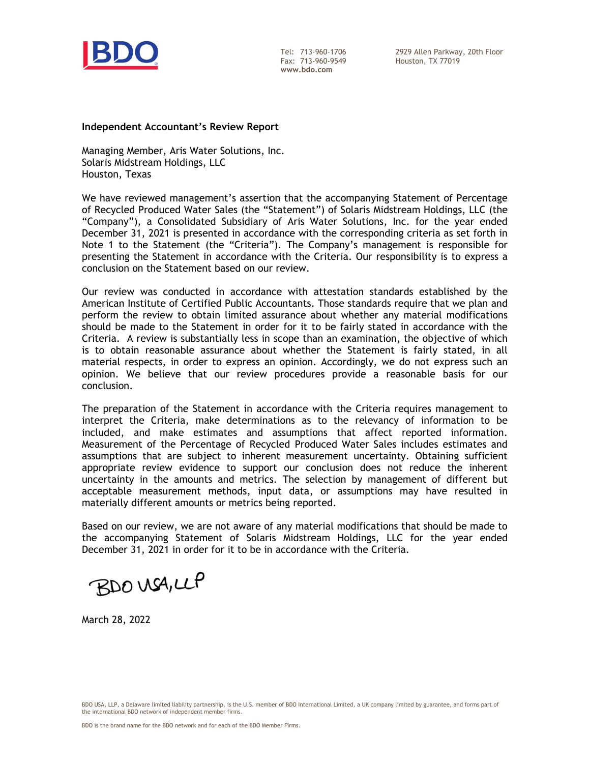

Tel: 713-960-1706 Fax: 713-960-9549 **www.bdo.com** 

2929 Allen Parkway, 20th Floor Houston, TX 77019

#### **Independent Accountant's Review Report**

Managing Member, Aris Water Solutions, Inc. Solaris Midstream Holdings, LLC Houston, Texas

We have reviewed management's assertion that the accompanying Statement of Percentage of Recycled Produced Water Sales (the "Statement") of Solaris Midstream Holdings, LLC (the "Company"), a Consolidated Subsidiary of Aris Water Solutions, Inc. for the year ended December 31, 2021 is presented in accordance with the corresponding criteria as set forth in Note 1 to the Statement (the "Criteria"). The Company's management is responsible for presenting the Statement in accordance with the Criteria. Our responsibility is to express a conclusion on the Statement based on our review.

Our review was conducted in accordance with attestation standards established by the American Institute of Certified Public Accountants. Those standards require that we plan and perform the review to obtain limited assurance about whether any material modifications should be made to the Statement in order for it to be fairly stated in accordance with the Criteria. A review is substantially less in scope than an examination, the objective of which is to obtain reasonable assurance about whether the Statement is fairly stated, in all material respects, in order to express an opinion. Accordingly, we do not express such an opinion. We believe that our review procedures provide a reasonable basis for our conclusion.

The preparation of the Statement in accordance with the Criteria requires management to interpret the Criteria, make determinations as to the relevancy of information to be included, and make estimates and assumptions that affect reported information. Measurement of the Percentage of Recycled Produced Water Sales includes estimates and assumptions that are subject to inherent measurement uncertainty. Obtaining sufficient appropriate review evidence to support our conclusion does not reduce the inherent uncertainty in the amounts and metrics. The selection by management of different but acceptable measurement methods, input data, or assumptions may have resulted in materially different amounts or metrics being reported.

Based on our review, we are not aware of any material modifications that should be made to the accompanying Statement of Solaris Midstream Holdings, LLC for the year ended December 31, 2021 in order for it to be in accordance with the Criteria.

BDO USA, LLP

March 28, 2022

BDO USA, LLP, a Delaware limited liability partnership, is the U.S. member of BDO International Limited, a UK company limited by guarantee, and forms part of the international BDO network of independent member firms.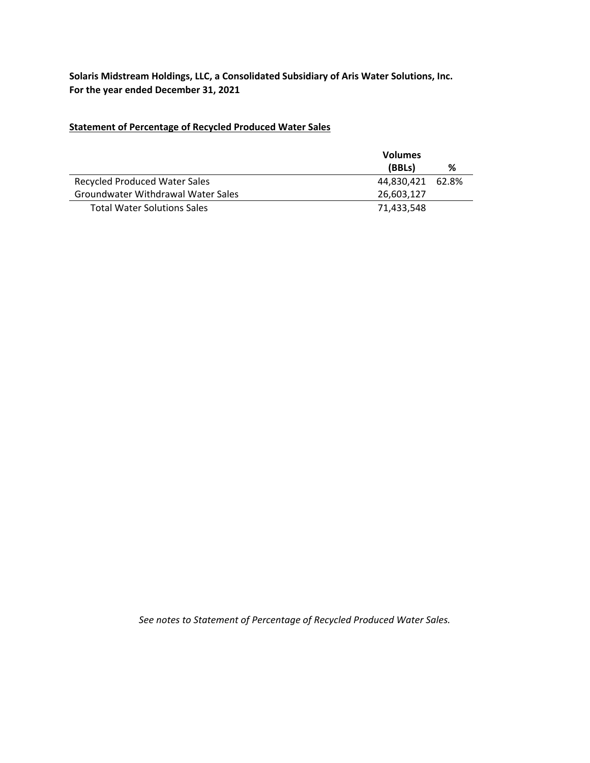**Solaris Midstream Holdings, LLC, a Consolidated Subsidiary of Aris Water Solutions, Inc. For the year ended December 31, 2021**

# **Statement of Percentage of Recycled Produced Water Sales**

|                                      | <b>Volumes</b>   |   |
|--------------------------------------|------------------|---|
|                                      | (BBLs)           | % |
| <b>Recycled Produced Water Sales</b> | 44.830.421 62.8% |   |
| Groundwater Withdrawal Water Sales   | 26,603,127       |   |
| <b>Total Water Solutions Sales</b>   | 71.433.548       |   |

*See notes to Statement of Percentage of Recycled Produced Water Sales.*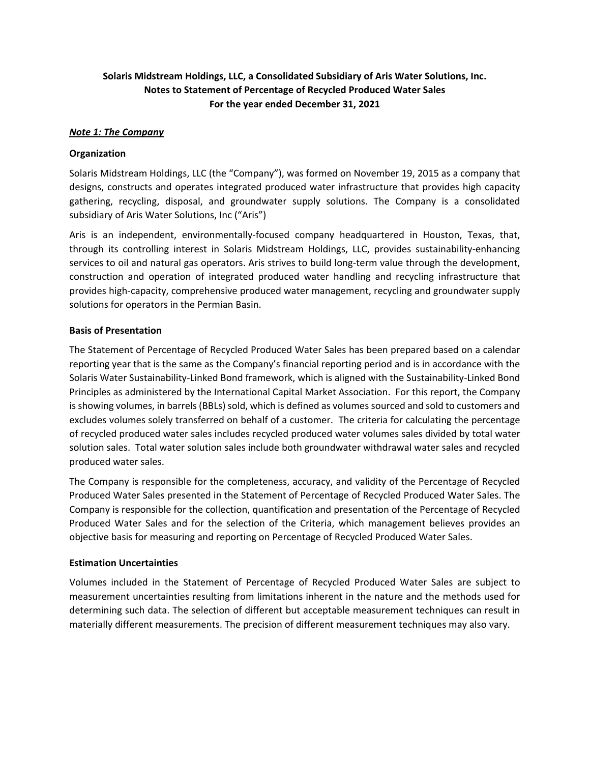# **Solaris Midstream Holdings, LLC, a Consolidated Subsidiary of Aris Water Solutions, Inc. Notes to Statement of Percentage of Recycled Produced Water Sales For the year ended December 31, 2021**

## *Note 1: The Company*

### **Organization**

Solaris Midstream Holdings, LLC (the "Company"), was formed on November 19, 2015 as a company that designs, constructs and operates integrated produced water infrastructure that provides high capacity gathering, recycling, disposal, and groundwater supply solutions. The Company is a consolidated subsidiary of Aris Water Solutions, Inc ("Aris")

Aris is an independent, environmentally‐focused company headquartered in Houston, Texas, that, through its controlling interest in Solaris Midstream Holdings, LLC, provides sustainability-enhancing services to oil and natural gas operators. Aris strives to build long-term value through the development, construction and operation of integrated produced water handling and recycling infrastructure that provides high‐capacity, comprehensive produced water management, recycling and groundwater supply solutions for operators in the Permian Basin.

### **Basis of Presentation**

The Statement of Percentage of Recycled Produced Water Sales has been prepared based on a calendar reporting year that is the same as the Company's financial reporting period and is in accordance with the Solaris Water Sustainability‐Linked Bond framework, which is aligned with the Sustainability‐Linked Bond Principles as administered by the International Capital Market Association. For this report, the Company is showing volumes, in barrels (BBLs) sold, which is defined as volumes sourced and sold to customers and excludes volumes solely transferred on behalf of a customer. The criteria for calculating the percentage of recycled produced water sales includes recycled produced water volumes sales divided by total water solution sales. Total water solution sales include both groundwater withdrawal water sales and recycled produced water sales.

The Company is responsible for the completeness, accuracy, and validity of the Percentage of Recycled Produced Water Sales presented in the Statement of Percentage of Recycled Produced Water Sales. The Company is responsible for the collection, quantification and presentation of the Percentage of Recycled Produced Water Sales and for the selection of the Criteria, which management believes provides an objective basis for measuring and reporting on Percentage of Recycled Produced Water Sales.

### **Estimation Uncertainties**

Volumes included in the Statement of Percentage of Recycled Produced Water Sales are subject to measurement uncertainties resulting from limitations inherent in the nature and the methods used for determining such data. The selection of different but acceptable measurement techniques can result in materially different measurements. The precision of different measurement techniques may also vary.